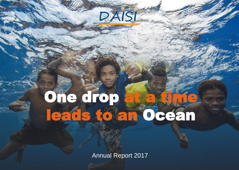# One drop at a time leads to an Ocean

DAISI

Doctors Assisting In South-Pacific Islands Annual Report 2017 Annual Report 2017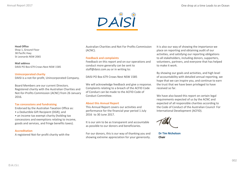

#### **Head Office** Shop 1, Ground Floor 38 Pacific Hwy St Leonards NSW 2065

**Mail address** DAISI PO Box 679 Crows Nest NSW 1585

#### **Unincorporated charity** DAISI is a not-for-profit, Unincorporated Company.

Board Members are our current Directors. Registered charity with the Australian Charities and Not-for-Profits Commission (ACNC) from 26 January 2016.

#### **Tax concessions and fundraising**

Endorsed by the Australian Taxation Office as:

- a Deductible Gift Recipient (DGR); and
- an income tax exempt charity (holding tax concessions and exemptions relating to income, goods and services, and fringe benefits taxes).

#### **Accreditation**

A registered Not-for-profit charity with the

Australian Charities and Not For Profits Commission (ACNC).

#### **Feedback and complaints**

Feedback on this report and on our operations and conduct more generally can be sent to staff@daisi.com.au or in writing to:

DAISI PO Box 679 Crows Nest NSW 1585

We will acknowledge feedback and give a response. Complaints relating to a breach of the ACFID Code of Conduct can be made to the ACFID Code of Conduct Committee.

#### **About this Annual Report**

This Annual Report covers our activities and performance for the financial year period 1 July 2016 to 30 June 2017.

It is our aim to be as transparent and accountable as possible to our donors and beneficiaries.

For our donors, this is our way of thanking you and showing extreme appreciation for your generosity. It is also our way of showing the importance we place on reporting and obtaining audit of our activities, and satisfying our reporting obligations to all stakeholders, including donors, supporters, volunteers, partners, and everyone that has helped to make it work.

By showing our goals and activities, and high level of accountability with detailed annual reporting, we hope that we can inspire you, and continue to earn the trust that we have been privileged to have received so far.

We have also based this report on certain legal requirements expected of us by the ACNC and expected of all responsible charities according to the Code of Conduct of the Australian Council For International Development (ACFID).

**Dr Tim Nicholson Chair**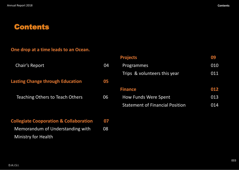## **Contents**

### **One drop at a time leads to an Ocean.**

| <b>Chair's Report</b>                   | 04 |
|-----------------------------------------|----|
| <b>Lasting Change through Education</b> | 05 |
| <b>Teaching Others to Teach Others</b>  | 06 |
|                                         |    |

| <b>Collegiate Cooporation &amp; Collaboration 07</b> |    |
|------------------------------------------------------|----|
| Memorandum of Understanding with                     | 08 |
| <b>Ministry for Health</b>                           |    |

| <b>Projects</b>                        | 09  |
|----------------------------------------|-----|
| Programmes                             | 010 |
| Trips & volunteers this year           | 011 |
|                                        |     |
| <b>Finance</b>                         | 012 |
| <b>How Funds Were Spent</b>            | 013 |
| <b>Statement of Financial Position</b> | 014 |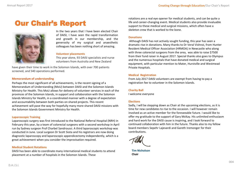## Our Chair's Report



In the two years that I have been elected Chair of DAISI, I have seen the rapid transformation and growth in our membership, and the generosity of my surgical and anaesthetic colleagues has been nothing short of amazing.

#### **Volunteer placements**

This year alone, 93 DAISI specialists and nurse volunteers from Australia and New Zealand

have given their time to work in the Solomon Islands, with over 700 patients screened, and 540 operations performed.

#### **Memorandum of understanding**

Perhaps the most significant of all achievements, is the recent signing of a Memorandum of Understanding (MoU) between DAISI and the Solomon Islands Ministry for Health. This MoU allows for delivery of volunteer services in each of the provinces of the Solomon Islands, in support and collaboration with the Solomon Islands Ministry for Health, in a coordinated manner with a degree of expectation and accountability between both parties on shared projects. This recent achievement will pave the way for hopefully many more shared DAISI missions with the Solomon Islands Government Ministry for Health.

#### **Laparoscopic Training**

Laparoscopic surgery was first introduced to the National Referral Hospital (NRH) in February this year, by a team of colorectal surgeons with a second workshop in April run by Sydney surgeon Prof Charbel Sandroussi. A third laparoscopic workshop was conducted in June. Local surgeon Dr Scott Siota and his registrars are now doing diagnostic laparoscopy and laparoscopic appendicectomy independently, which is a great achievement when you consider the improvisation required.

#### **Medical Student Rotations**

DAISI has been able to coordinate many international medical students to attend placement at a number of hospitals in the Solomon Islands. These

rotations are a real eye opener for medical students, and can be quite a life and career-changing event. Medical students also provide invaluable support to these medical and surgical missions, which often have a skeleton crew that is worked to the bone.

#### **Donations**

Although DAISI has not actively sought funding, this year has seen a dramatic rise in donations. Many thanks to Dr Veral Vishnoi, from Hunter Resident Medical Officer Association (HRMOA) in Newcastle who along with three colorectal surgeons from the area, was able to raise \$7500 from their fund raiser in August 2017. Special thanks also goes to Olympus and the numerous hospitals that have donated medical and surgical equipment, with particular mention to Mater, Hurstville and Westmead Private Hospitals.

#### **Medical Registration**

From July 2017 DAISI volunteers are exempt from having to pay a registration fee to volunteer in the Solomon Islands.

#### **Charity Ball**

I welcome everyone

#### **Elections**

Sadly, I will be stepping down as Chair at the upcoming elections, as it is time for new candidates to rise to the occasion. I will however remain involved as an active member for the foreseeable future. I would like to offer my gratitude to the support of Gary McKay. His unlimited enthusiasm and hard work for the DAISI cause is inspiring, and I look forward to continued collaboration with him in the future. Thanks also to my fellow board members Sepehr Lajevardi and Gareth Iremonger for their contributions.

**Tim Nicholson Chair**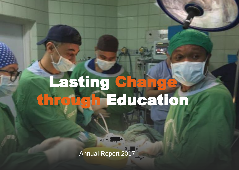## Lasting Change through Education

Annual Report 2017

Doctors Assisting In South-Pacific Islands

(D.A.I.) 5 (D.A.I.) 5 (D.A.I.) 5 (D.A.I.) 5 (D.A.I.) 5 (D.A.I.) 5 (D.A.I.) 5 (D.A.I.) 5 (D.A.I.) 5 (D.A.I.) 5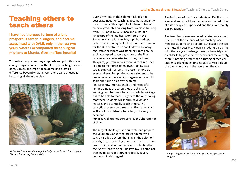## Teaching others to teach others

**I have had the good fortune of a long prosperous career in surgery, and became acquainted with DAISI, only in the last two years, where I accompanied three surgical missions to Munda, Gizo and Taro hospital**

Throughout my career, my emphasis and priorities have changed significantly. Now that I'm approaching the end of my career, the importance of making a lasting difference beyond what I myself alone can achieved is becoming all the more clear.



*Dr Santee Santhanam teaching simple lipoma excision at Gizo hospital, Western Province of Solomon Islands.*

During my time in the Solomon Islands, the desperate need for teaching became abundantly clear to me. With a rapid rise in the number of medical graduates arriving from overseas training from Fiji, Papua New Guinea and Cuba, the landscape of the medical workforce in the Solomon Islands is changing, rapidly, perhaps faster than is manageable. It was not uncommon for the OT theatre to be so filled with so many registrars that there was standing room only, as each attempted to get a glimpse of the first laparoscopic cholecystectomy they had seen. This pure, youthful inquisitiveness took me back in time to memories of my own training as a young surgical trainee, and those memorable events where I felt privileged as a student to be one on one with my senior surgeon as he would share the skills of his craft with me. Realising how impressionable and respectful junior trainees are when they are thirsty for learning, emphasises what an incredible privilege it is to be able to teach surgery to them, knowing that these students will in turn develop and mature, and eventually teach others. This catalytic process could see an entire nation such as the Solomon Islands, have ten, or twenty or even one

hundred well trained surgeons over a short period of time.

The biggest challenge is to cultivate and prepare the Solomon Islands medical workforce with suitably skilled doctors that stay in the Solomon islands, in turn teaching others, and resisting the brain drain, and lure of endless possibilities that the "West" has to offer. I believe DAISI's ethos of training doctors and surgeons locally is very important in this regard.

The inclusion of medical students on DAISI visits is also vital and should not be underestimated. They should always be supervised and their role mainly observational.

The teaching of overseas medical students should never be at the expense of not teaching local medical students and doctors. But usually the two are mutually possible. Medical students also bring with them a youthful eagerness to these trips. As an older fella, prone to the occasional melancholy, there is nothing better than a throng of medical students asking questions inquisitively to pick up the overall morale in the operating theatre



Surgical Registrar Dr Clayton Siosi practicing laparoscopic surgery.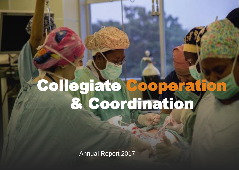## Collegiate Cooperation & Coordination

Annual Report 2017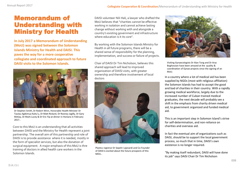## Memorandum of Understanding with Ministry for Health

**In July 2017 a Memorandum of Understanding (MoU) was signed between the Solomon Islands Ministry for Health and DAISI. This paves the way for a more cooperative collegiate and coordinated approach to future DAISI visits to the Solomon Islands.**



Dr Stephen Smith, Dr Robert Winn, Honorable Health Minister Dr Tautau Agikimua Kaitu'u, Dr Matt Rickard, Dr Rooney Jagilly, Dr Gary McKay, Dr Mark Lucey & Dr Eric Yip at dinner in Honiara in February 2017..

Core to this MoU is an understanding that all activities between DAISI and the Ministry for Health represent a joint partnership. The overall aim of this partnership and role of DAISI is to provide assistance where it is needed, mostly in the form of specialist services, but also the donation of surgical equipment. A major emphasis of this MoU is thre training of doctors in allied health care workers in the Solomon Islands.

DAISI volunteer Nili Hali, a lawyer who drafted the MoU believes that "charities cannot be effective working in isolation and cannot achieve lasting change without working with and alongside a country's existing government and infrastructure where education is it its core".

By working with the Solomon Islands Ministry for Health in all future programs, there will be a shared sense of responsibility for the planning, implementation, and success or failure of projects.

Chair of DAISI Dr Tim Nicholson, believes this shared approach will lead to improved organization of DAISI visits, with greater ownership and therefore involvement of local



Plastics registrar Dr Sepehr Lajevardi and Co-Founder of DAISI is excited about the future prospects of this MOU..



Visiting Gynaecologists Dr Alan Tong and Dr Araz Boghossian have been amazed at the quality & coordination of Gynae projects since the signing of an MoU.

doctors in a country where a lot of medical aid has been doctors supplied by NGOs (most with religious affiliation) the Solomon Islands has had to accept the good and bad of charities in their country. With a rapidly growing medical workforce, largely due to the increased number of Cuban trained medical graduates, the next decade will probably see a shift in the emphasis from charity driven medical aid, to government organized and funded medical aid.

> This is an important step in Solomon Island's strive for self-determination, and non-reliance on charities and overseas aid.

In fact the eventual aim of organizations such as DAISI, should be to support the local government process, so much that in time, DAISI's own existence is no longer required.

"By making itself redundant, DAISI will have done its job" says DAISI Chair Dr Tim Nicholson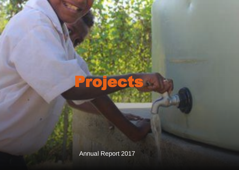Project

Annual Report 2017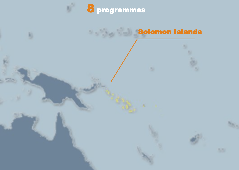

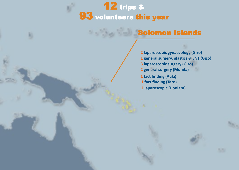

### **Gizo Hospital (Western Province) Solomon Islands**

 **Buala Hospital, (Isabella Province) laparoscopic gynaecology (Gizo) general surgery, plastics & ENT (Gizo) laparoscopic (Honiara) general surgery (Munda) fact finding (Auki) fact finding (Taro) laparoscopic surgery (Gizo)**

(D.A.I.) 111 (D.A.I.) 111 (D.A.I.) 111 (D.A.I.) 111 (D.A.I.) 111 (D.A.I.) 111 (D.A.I.) 111 (D.A.I.) 111 (D.A.I

5.5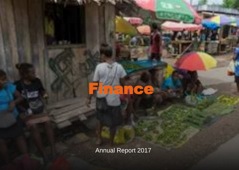## ance

Annual Report 2017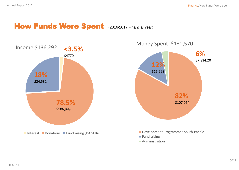## How Funds Were Spent (2016/2017 Financial Year)





- Development Programmes South-Pacific
- **Fundraising**
- **Administration**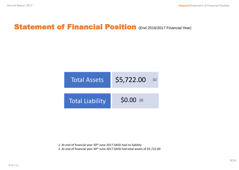## **Statement of Financial Position (End 2016/2017 Financial Year)**

| <b>Total Assets</b>    | \$5,722.00 | $[1]$ |
|------------------------|------------|-------|
| <b>Total Liability</b> | \$0.00 [2] |       |

1. At end of financial year 30<sup>th</sup> June 2017 DAISI had no liability 2. At end of financial year 30<sup>th</sup> June 2017 DAISI had total assets of \$5,722.00